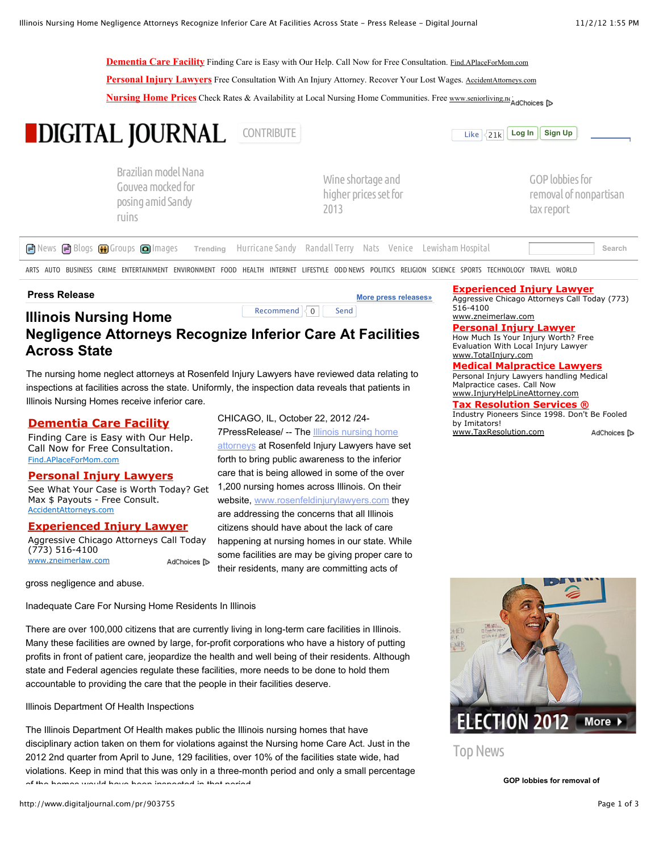**[Dementia Care Facility](http://googleads.g.doubleclick.net/aclk?sa=l&ai=C9bpP9haUUIezIuHcwQGGnYCgAYCfi-oC6LSK2TXAjbcBEAEgoZCTAygDUOjN_N3______wFgyb6kiPCj7BKgAcSRwv8DyAEBqAMByAPfBKoEd0_Q6mxUdr25fHexJZbUyglPm1tkULReCJ5er5rf5QAiAuO56OEs8fnB_xpJOOF19ob2thNJO-e7-uyiyC1gJ8YplpTFKJXr2kw2mc3cvQ0MI96bzynPiLzsRnsXMsiByY4HynC3zbsmPtwEbt9r1G1ELVZmHf6J&num=1&sig=AOD64_36-fezy19sWMzON-1x_FXKxHlTRQ&client=ca-pub-1077026815079259&adurl=http://find.aplaceformom.com/%3Fkw%3D3234-Content%2BOnly%2BMemory%26kwg%3DDementia%2BFacility%26keyword%3Ddementia%2Bcare%2Bfacility%26distrib%3Dsearch%26match%3DBroad%26caretype%3D13%26mkwid%3DcO0gvXY73%26pcrid%3D14317850456&nm=1)** Finding Care is Easy with Our Help. Call Now for Free Consultation. Find.APlaceForMom.com

**[Personal Injury Lawyers](http://googleads.g.doubleclick.net/aclk?sa=l&ai=CeBr49haUUIezIuHcwQGGnYCgAaf9k54C38uftlXAjbcBEAIgoZCTAygDUL2Lid_7_____wFgyb6kiPCj7BKgAcneouEDyAEBqAMByAPfBKoEfE_Qmlo-db26fHexJZbUyglPm1tkULReCJ5er5rf5QAiAuO56OEs8fnB_xpJOOF19ob2thNJO-e7-uyiyC1gJ8YplpTFKJXr2kw2mc3cvQ0MI96bzynPiLzsDnvRTS0oJGWNhHC3T1TQ9Nv5bR-W142xbmaGWwoAMeFEvwY&num=2&sig=AOD64_0zpSTz3YvfrmJTg5Ge7QHrupq8Qw&client=ca-pub-1077026815079259&adurl=http://www.accidentattorneys.com/sem/pi-api5%3Fsource%3Dgoogle%26data%3Dkw:personal%2520injury%2520lawyers)** Free Consultation With An Injury Attorney. Recover Your Lost Wages. AccidentAttorneys.com

**[Nursing Home Prices](http://googleads.g.doubleclick.net/aclk?sa=l&ai=C-GlD9haUUIezIuHcwQGGnYCgAeOpr-YCi5Xp0S3AjbcBEAMgoZCTAygDUJGuqbYDYMm-pIjwo-wSoAH14KPsA8gBAagDAcgD3wSqBHVP0Mob4W-mgETFAjL31MpQBZZVak2hUw6bRKiG0OhCbw7hblPpEvTzgb4TJgbz3C2guaoTTXHyu6LsopFnbSnINIOZwy2P7MZDO9uA0L9PUyGDjcYqy4q8McXwEzLIQyRlzYZttwS00_0pD04f3setQo7JTAk&num=3&sig=AOD64_2DPQ04Vor3EROdU7qJJYG90pO30w&client=ca-pub-1077026815079259&adurl=http://leads.seniorliving.net/Landing.aspx%3Faff%3D12%26_kk%3Dnursing%2520homes%26_kt%3D622b00d4-5c80-4cf2-aebd-ec13a1018c64)** Check Rates & Availability at Local Nursing Home Communities. Free www.seniorliving.n[et](http://www.google.com/url?ct=abg&q=https://www.google.com/adsense/support/bin/request.py%3Fcontact%3Dabg_afc%26url%3Dhttp://www.digitaljournal.com/pr/903755%26gl%3DUS%26hl%3Den%26client%3Dca-pub-1077026815079259%26ai0%3DC9bpP9haUUIezIuHcwQGGnYCgAYCfi-oC6LSK2TXAjbcBEAEgoZCTAygDUOjN_N3______wFgyb6kiPCj7BKgAcSRwv8DyAEBqAMByAPfBKoEd0_Q6mxUdr25fHexJZbUyglPm1tkULReCJ5er5rf5QAiAuO56OEs8fnB_xpJOOF19ob2thNJO-e7-uyiyC1gJ8YplpTFKJXr2kw2mc3cvQ0MI96bzynPiLzsRnsXMsiByY4HynC3zbsmPtwEbt9r1G1ELVZmHf6J%26ai1%3DCeBr49haUUIezIuHcwQGGnYCgAaf9k54C38uftlXAjbcBEAIgoZCTAygDUL2Lid_7_____wFgyb6kiPCj7BKgAcneouEDyAEBqAMByAPfBKoEfE_Qmlo-db26fHexJZbUyglPm1tkULReCJ5er5rf5QAiAuO56OEs8fnB_xpJOOF19ob2thNJO-e7-uyiyC1gJ8YplpTFKJXr2kw2mc3cvQ0MI96bzynPiLzsDnvRTS0oJGWNhHC3T1TQ9Nv5bR-W142xbmaGWwoAMeFEvwY%26ai2%3DC-GlD9haUUIezIuHcwQGGnYCgAeOpr-YCi5Xp0S3AjbcBEAMgoZCTAygDUJGuqbYDYMm-pIjwo-wSoAH14KPsA8gBAagDAcgD3wSqBHVP0Mob4W-mgETFAjL31MpQBZZVak2hUw6bRKiG0OhCbw7hblPpEvTzgb4TJgbz3C2guaoTTXHyu6LsopFnbSnINIOZwy2P7MZDO9uA0L9PUyGDjcYqy4q8McXwEzLIQyRlzYZttwS00_0pD04f3setQo7JTAk&usg=AFQjCNHv3jJh5AOsXvnachtzFOcrWrrFNQ) AdChoices D

# **CONTRIGHTAL JOURNAL** [CONTRIBUTE](http://www.digitaljournal.com/pr/903755) **Like CONTRIGHTAL [Log In](http://www.digitaljournal.com/pr/903755) [Sign Up](http://www.digitaljournal.com/user/signup.php)**

[Brazilian model Nana](http://www.digitaljournal.com/article/336026) Gouvea mocked for posing amid Sandy ruins



Wine shortage and [higher prices set for](http://www.digitaljournal.com/article/336030) 2013

Like  $|21k|$ 

GOP lobbies for [removal of nonpartisan](http://www.digitaljournal.com/article/336032) tax report

**B** [News](http://www.digitaljournal.com/w/newsindex) **B** [Blogs](http://www.digitaljournal.com/w/blogs) **G** [Groups](http://www.digitaljournal.com/w/groups) **@** [Images](http://www.digitaljournal.com/w/pics) **Trending [Hurricane Sandy](http://www.digitaljournal.com/topic/hurricane+sandy) Randall Terry** [Nats](http://www.digitaljournal.com/topic/Nats) [Venice](http://www.digitaljournal.com/topic/Venice) [Lewisham Hospital](http://www.digitaljournal.com/topic/lewisham+hospital) **Search** Search [Jerry Sandusky](http://www.digitaljournal.com/topic/jerry+sandusky) [Toilet Duck](http://www.digitaljournal.com/topic/toilet+duck) [Titan Poker](http://www.digitaljournal.com/topic/Titan+Poker) [Flash Mob](http://www.digitaljournal.com/topic/Flash+mob) [Taxes](http://www.digitaljournal.com/topic/Taxes)

[ARTS](http://www.digitaljournal.com/news/Arts) [AUTO](http://www.digitaljournal.com/news/Auto) [BUSINESS](http://www.digitaljournal.com/news/Business) [CRIME](http://www.digitaljournal.com/news/Crime) [ENTERTAINMENT](http://www.digitaljournal.com/news/Entertainment) [ENVIRONMENT](http://www.digitaljournal.com/news/Environment) [FOOD](http://www.digitaljournal.com/news/Food) [HEALTH](http://www.digitaljournal.com/news/Health) [INTERNET](http://www.digitaljournal.com/news/Internet) [LIFESTYLE](http://www.digitaljournal.com/news/Lifestyle) [ODD NEWS](http://www.digitaljournal.com/news/Odd+News) [POLITICS](http://www.digitaljournal.com/news/Politics) [RELIGION](http://www.digitaljournal.com/news/Religion) [SCIENCE](http://www.digitaljournal.com/news/Science) [SPORTS](http://www.digitaljournal.com/news/Sports) [TECHNOLOGY](http://www.digitaljournal.com/news/Technology) [TRAVEL](http://www.digitaljournal.com/news/Travel) [WORLD](http://www.digitaljournal.com/news/World)

CHICAGO, IL, October 22, 2012 /24-

**Press Release**

## **Illinois Nursing Home** Recommend  $\begin{bmatrix} 0 \\ 0 \end{bmatrix}$  Send

## **Negligence Attorneys Recognize Inferior Care At Facilities Across State**

The nursing home neglect attorneys at Rosenfeld Injury Lawyers have reviewed data relating to inspections at facilities across the state. Uniformly, the inspection data reveals that patients in Illinois Nursing Homes receive inferior care.

## **[Dementia Care Facility](http://googleads.g.doubleclick.net/aclk?sa=l&ai=CSqL29haUUKK2E8GvqwHi94GQAoCfi-oC6LSK2TXAjbcBEAEgoZCTAygDUOjN_N3______wFgyb6kiPCj7BKgAcSRwv8DyAEB4AIAqAMByAOfBKoEmAFP0JY7ov1celG22DKXDWBWjbhw8l7YigUhkF02oILUdfW15FmnOtFba3kH0cxGJjrDJnPfDO1r33XdwMm_xhEXFJCccQo6Z21PfoWawqqor3rFcEKKxjzUOr6gVi80NjXC2dTOrsy5SficcQSpvDzb_p3QKJFB7fUvbK8Pf3Q0mXoE_qUMcP5WsFHCvXS2ZLjQzrLVJ5rnbOAEAQ&num=1&sig=AOD64_3ek5MsawJGnIQCCca4AFuGVyS2Bw&client=ca-pub-1077026815079259&adurl=http://find.aplaceformom.com/%3Fkw%3D3234-Content%2BOnly%2BMemory%26kwg%3DDementia%2BFacility%26keyword%3Ddementia%2Bcare%2Bfacility%26distrib%3Dsearch%26match%3DBroad%26caretype%3D13%26mkwid%3DcO0gvXY73%26pcrid%3D14317850456)**

Finding Care is Easy with Our Help. Call Now for Free Consultation. Find.APlaceForMom.com

## **[Personal Injury Lawyers](http://googleads.g.doubleclick.net/aclk?sa=l&ai=CvR6O9haUUKK2E8GvqwHi94GQAqf9k54C1_2CrVLAjbcBEAIgoZCTAygDUL2Lid_7_____wFgyb6kiPCj7BKgAcneouEDyAEB4AIAqAMByAOfBKoEnQFP0IYkuv1ceVG22DKXDWBWjbhw8l7YigUhkF02oILUdfW15FmnOtFba3kH0cxGJjrDJnPfDO1r33XdwMm_xhEXFJCccQo6Z21PfoWawqqor3rFcEKKxjzUOr6gVi98NvO_PeYXnO7yS_3UbnPw9lPw9si_F7v8vgO89wjs5J_XE5fvdOsMcHy5RpvFQHdymbs0O_Hlx9wT5Y1B-cEn4AQB&num=2&sig=AOD64_0-DNx4towSoDYxHKuWRX5DkdyscA&client=ca-pub-1077026815079259&adurl=http://www.accidentattorneys.com/sem/pi-api5%3Fsource%3Dgoogle%26data%3Dkw:personal%2520injury%2520lawyers)**

See What Your Case is Worth Today? Get Max \$ Payouts - Free Consult. AccidentAttorneys.com

## **[Experienced Injury Lawyer](http://googleads.g.doubleclick.net/aclk?sa=L&ai=CDd199haUUKK2E8GvqwHi94GQAtqq4-8BqoKBmh_AjbcBEAMgoZCTAygDULbKjJT8_____wFgyb6kiPCj7BLIAQHgAgCoAwHIA58EqgSaAU_Q5meZ_Vx4UbbYMpcNYFaNuHDyXtiKBSGQXTaggtR19bXkWac60VtreQfRzEYmOsMmc98M7Wvfdd3Ayb_GERcUkJxxCjpnbU9-hZrCqqivesVwQorGPNQ6vqBWLzQ2NcLZ1M6uzLlJ-JxxBKm8PNv-ndAokUHt9S9srw9_dDSZegT-pQxw_lawUcK9dLZkuNDOstUnmsuXLYbgBAE&num=3&sig=AOD64_1H8RjLRG4K1Rjhsd213DhaQ8-izA&client=ca-pub-1077026815079259&adurl=http://www.zneimerlaw.com/lawyer-attorney-1123873.html)**

Aggressive Chicago Attorneys Call Today (773) 516-4100 www.zneimerlaw.com AdChoices I

gross negligence and abuse.

Inadequate Care For Nursing Home Residents In Illinois

There are over 100,000 citizens that are currently living in long-term care facilities in Illinois. Many these facilities are owned by large, for-profit corporations who have a history of putting profits in front of patient care, jeopardize the health and well being of their residents. Although state and Federal agencies regulate these facilities, more needs to be done to hold them accountable to providing the care that the people in their facilities deserve.

Illinois Department Of Health Inspections

The Illinois Department Of Health makes public the Illinois nursing homes that have disciplinary action taken on them for violations against the Nursing home Care Act. Just in the 2012 2nd quarter from April to June, 129 facilities, over 10% of the facilities state wide, had violations. Keep in mind that this was only in a three-month period and only a small percentage of the homes would have been inspected in that period.

# ELECTION 2012 More >

Top News

**[GOP lobbies for removal of](http://www.digitaljournal.com/article/336032)**

**[More press releases»](http://www.digitaljournal.com/pr/)**

**[Personal Injury Lawyer](http://googleads.g.doubleclick.net/aclk?sa=l&ai=Ctzdu-BaUUOvkIergwQH5mYHAB6_Rm84C_5v-_EzAjbcBEAIgoZCTAygEUKS3uu_6_____wFgyb6kiPCj7BKgAc3Mov0DyAEBqAMByAPfBKoEgwFP0JG0-1TnCz6fWGA0u-8gTMm2MUaCIYsKoRfnTAu5Yc6uLnfbEdvCFbCyNj35mwPFuwUSiHHYlLc-slKx0XpdRnWpQ3-0WVHl_ZrlUBPEmugdmmFBExXxYpJKuONjb7xURPQjovEBeSr1nKlvwRWHqAjODczxF1_54z258kpw2E7z8A&num=2&sig=AOD64_3g72DrEdGHiYhFu-LiEiOsOKgxeA&client=ca-pub-1077026815079259&adurl=http://www.totalinjury.com/pc/%3FGCID%3DX001%26keywordid%3DINJ_G_D_B_749137%26creativeid%3D20582173231%26placement%3Dwww.digitaljournal.com)** How Much Is Your Injury Worth? Free

516-4100

www.zneimerlaw.com

Evaluation With Local Injury Lawyer www.TotalInjury.com

**[Experienced Injury Lawyer](http://googleads.g.doubleclick.net/aclk?sa=L&ai=CkQu5-BaUUOvkIergwQH5mYHAB9qq4-8BqoKBmh_AjbcBEAEgoZCTAygEULbKjJT8_____wFgyb6kiPCj7BLIAQGoAwHIA98EqgR9T9DBucRU5wg-n1hgNLvvIEzJtjFGgiGLCqEX50wLuWHOri532xHbwhWwsjY9-ZsDxbsFEohx2JS3PrJSsdF6XUZ1qUN_tFlR5f2a5VATxJroHZphQRMV8WKSSrjjY2-8dEXagM7topKgOXNfJykeTm8Izi3EscdK_AuvX_I&num=1&sig=AOD64_1UW-wWeM6HARotwOf3hFipGjkHXg&client=ca-pub-1077026815079259&adurl=http://www.zneimerlaw.com/lawyer-attorney-1123873.html)** Aggressive Chicago Attorneys Call Today (773)

**[Medical Malpractice Lawyers](http://googleads.g.doubleclick.net/aclk?sa=l&ai=CfqlO-BaUUOvkIergwQH5mYHAB_3_lYICverqhiTAjbcBEAMgoZCTAygEULDN9egDYMm-pIjwo-wSoAG5ndz-A8gBAagDAcgD3wSqBIIBT9Dh7MhU5wo-n1hgNLvvIEzJtjFGgiGLCqEX50wLuWHOri532xHbwhWwsjY9-ZsDxbsFEohx2JS3PrJSsdF6XUZ1qUN_tFlR5f2a5VATxJroHZphQRMV8WKSSrjjY2-8VETGFPXlAXkq9Zypb8EVh6gIzg3M8Rdf-eM9ufJKcIwYCw&num=3&sig=AOD64_1t6xRIK9XhH-eeNM5FDr1mobv7Og&client=ca-pub-1077026815079259&adurl=http://www.injuryhelplineattorney.com/Illinois/Chicago/Medical-Malpractice/%3Fref%3DWWRA%26Loc%3D110817)**

Personal Injury Lawyers handling Medical Malpractice cases. Call Now www.InjuryHelpLineAttorney.com

## **[Tax Resolution Services ®](http://googleads.g.doubleclick.net/aclk?sa=l&ai=CjHLa-BaUUOvkIergwQH5mYHAB43W14oCraPp8CrAjbcBEAQgoZCTAygEUOz1m7UCYMm-pIjwo-wSoAGlqrb-A8gBAagDAcgD3wSqBIMBT9CxzO5U5w0-n1hgNLvvIEzJtjFGgiGLCqEX50wLuWHOri532xHbwhWwsjY9-ZsDxbsFEohx2JS3PrJSsdF6XUZ1qUN_tFlR5f2a5VATxJroHZphQRMV8WKSSrjjY2-8VESWU5j8AXkq9Zypb8EVh6gIzg3M8Rdf-eM9ufJKcMwkl_Y&num=4&sig=AOD64_0xqt2L4TR4c_N7OPVabuu7XyxLfw&client=ca-pub-1077026815079259&adurl=http://www.taxresolution.com/generic.asp%3Ftrs_source%3Dgoogle%26trs_medium%3Dppcsan%26trs_term%3Dtax%2520lawyers%26ver%3D1%26tf%3D8886934051)**

Industry Pioneers Since 1998. Don't Be Fooled by Imitators! www.TaxResolution.comAdChoices [D

7PressRelease/ -- The **Illinois nursing home** [attorneys at Rosenfeld Injury Lawyers have](http://www.rosenfeldinjurylawyers.com/practice/nursing-home-injuries/) set forth to bring public awareness to the inferior care that is being allowed in some of the over 1,200 nursing homes across Illinois. On their website, [www.rosenfeldinjurylawyers.com](http://www.rosenfeldinjurylawyers.com/) they are addressing the concerns that all Illinois citizens should have about the lack of care happening at nursing homes in our state. While some facilities are may be giving proper care to their residents, many are committing acts of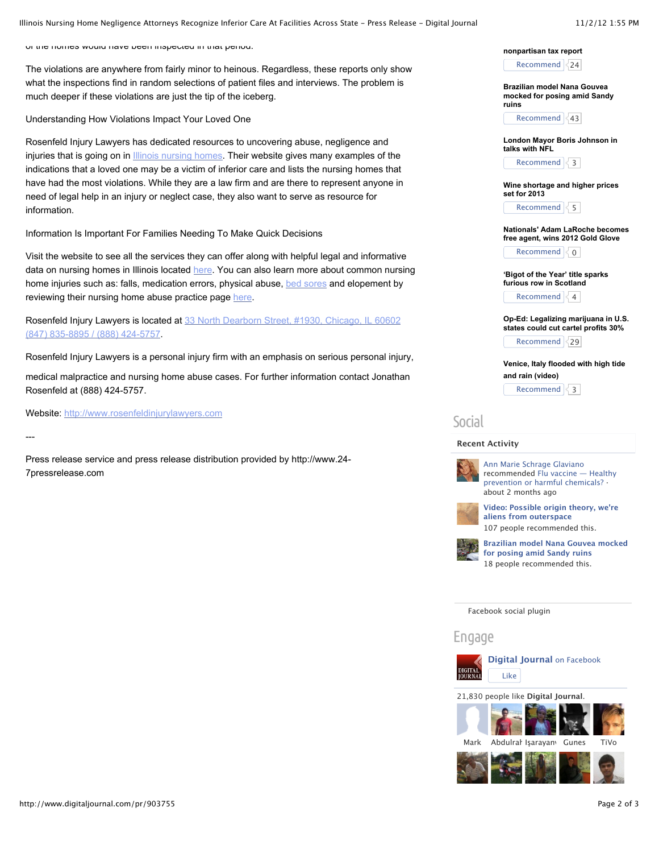Illinois Nursing Home Negligence Attorneys Recognize Inferior Care At Facilities Across State - Press Release - Digital Journal 11/2/12 1:55 PM

of the homes would have been inspected in that period.

The violations are anywhere from fairly minor to heinous. Regardless, these reports only show what the inspections find in random selections of patient files and interviews. The problem is much deeper if these violations are just the tip of the iceberg.

Understanding How Violations Impact Your Loved One

Rosenfeld Injury Lawyers has dedicated resources to uncovering abuse, negligence and injuries that is going on in [Illinois nursing homes.](http://www.rosenfeldinjurylawyers.com/practice/nursing-home-injuries/nursing-home-lawsuits/) Their website gives many examples of the indications that a loved one may be a victim of inferior care and lists the nursing homes that have had the most violations. While they are a law firm and are there to represent anyone in need of legal help in an injury or neglect case, they also want to serve as resource for information.

Information Is Important For Families Needing To Make Quick Decisions

Visit the website to see all the services they can offer along with helpful legal and informative data on nursing homes in Illinois located [here.](http://www.rosenfeldinjurylawyers.com/practice/nursing-home-injuries/nursing-home-lawsuits/) You can also learn more about common nursing home injuries such as: falls, medication errors, physical abuse, [bed sores](http://www.rosenfeldinjurylawyers.com/practice/pressure-sore-injuries/) and elopement by reviewing their nursing home abuse practice page [here.](http://www.rosenfeldinjurylawyers.com/practice/nursing-home-injuries/)

[Rosenfeld Injury Lawyers is located at 33 North Dearborn Street, #1930, Chicago, IL 60602](https://plus.google.com/u/0/b/118175652108323960339/118175652108323960339/posts) (847) 835-8895 / (888) 424-5757.

Rosenfeld Injury Lawyers is a personal injury firm with an emphasis on serious personal injury,

medical malpractice and nursing home abuse cases. For further information contact Jonathan Rosenfeld at (888) 424-5757.

Website: [http://www.rosenfeldinjurylawyers.com](http://www.rosenfeldinjurylawyers.com/)

---

Press release service and press release distribution provided by http://www.24- 7pressrelease.com



**[nonpartisan tax report](http://www.digitaljournal.com/article/336032)** Recommend 24

**Brazilian model Nana Gouvea [mocked for posing amid Sandy](http://www.digitaljournal.com/article/336026) ruins**

Recommend 43

**[London Mayor Boris Johnson in](http://www.digitaljournal.com/article/336014) talks with NFL**

Recommend  $\leq 3$ 

**[Wine shortage and higher prices](http://www.digitaljournal.com/article/336030) set for 2013**

Recommend  $\sqrt{5}$ 

**[Nationals' Adam LaRoche becomes](http://www.digitaljournal.com/article/336040) free agent, wins 2012 Gold Glove**

Recommend  $\sqrt{0}$ 

**['Bigot of the Year' title sparks](http://www.digitaljournal.com/article/336052) furious row in Scotland** Recommend  $\vert \langle 4 \vert \vert$ 

**[Op-Ed: Legalizing marijuana in U.S.](http://www.digitaljournal.com/article/336013) states could cut cartel profits 30%**

Recommend  $|29|$ 

**[Venice, Italy flooded with high tide](http://www.digitaljournal.com/article/336042) and rain (video)**

Recommend  $\sqrt{3}$ 

## **Social**

## **Recent Activity**



[Ann Marie Schrage Glaviano](https://www.facebook.com/AnnMarieGlaviano) [recommended Flu vaccine — Healthy](http://www.facebook.com/l.php?u=http%3A%2F%2Fwww.digitaljournal.com%2Farticle%2F332642%23ixzz26HYYzZLh&h=nAQEV757y&enc=AZMbg1491ILZtoUcn_byaFwdL34uhWUZajFAwD44IM1jVOnp7Zl_D76pPlg3LAmr5j1tb_7YdrAqu_Kqou4sQUswIU4SQrlWvGFxazAI4jsL9G-zStDXK97DZVmIUXSbwHpJNhwZ9jq7khEPaXHK5f0VN5E0iQpZcSkMtICyCHGPocbvc7oc2pgddUBVKrlW_xMau1c8-s4QWNMDqSjyK-YIq-sqbfQV6RWi0Jifs5V22llEG8ogrYvqjq3AGmetNUU&s=1) prevention or harmful chemicals? · about 2 months ago



**[Video: Possible origin theory, we're](http://www.facebook.com/l.php?u=http%3A%2F%2Fwww.digitaljournal.com%2Farticle%2F335907&h=GAQGI2x8Z&enc=AZMciKqPq-TiTzTviInNjDjNxLQJK3JNiL4F_dZzChPFnTZ7fGqY6XNRHSoUaXP4AST1_M5QTSL55-Mzg3NzP_dtQEW4d8DJktMoKs6SM5LgdeMRo8lqTpvUOkoWuaVvr42xdJjqYw2rNrsPKU0BYEkYBB_twex6-jfaMh7wEHNliofI-E2U0MssvNDxboi1Tc8OCQwtsvA6jt4jyirapMyVbTHSLA0ra5sH8zlvcTVh0zptUylhah4c3Kp-4hkLBKs&s=1) aliens from outerspace** 107 people recommended this.



**[Brazilian model Nana Gouvea mocked](http://www.facebook.com/l.php?u=http%3A%2F%2Fwww.digitaljournal.com%2Farticle%2F336026&h=hAQGogFOt&enc=AZOcI8b0DyoPUObwRJIYEdkwxjz5g_nn3FdDmAIr2XD5hdQkUAp8rFnDNkZQbWW_T1BAD8qSh0nR-mzRdeUqmYAs5vTT9_KgIYo2wLTIZky7Kz-ie1UTiGuw0gKchF_va3vTHWZO9Su2z8pXEl2XUs3u-Sdze8F6ar3WM-r9cG5efL0brBfOyr7A53upiB4ADpgLasnHAVLdtMjAtTrZjlU0zAe9Ju1q49kMw6p8vp1bMVK2Scm_5T9PTs8JTEm30b8&s=1) for posing amid Sandy ruins** 18 people recommended this.

[Facebook social plugin](http://developers.facebook.com/plugins/?footer=2)

Engage



21,830 people like **Digital Journal**.